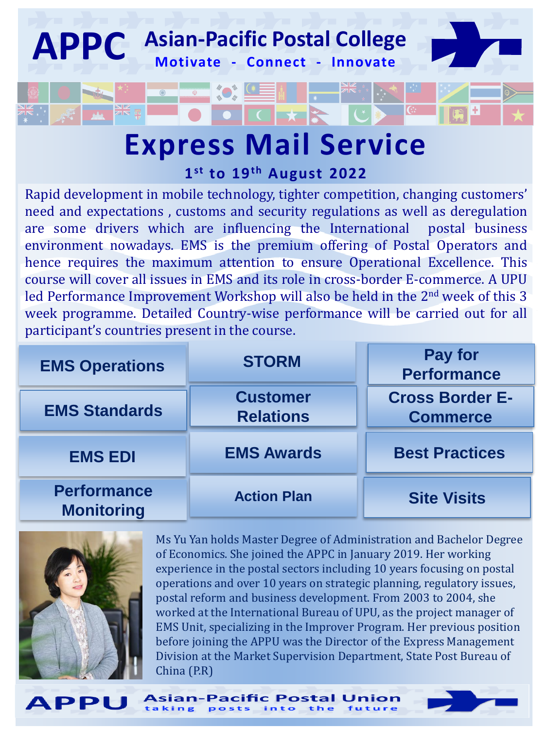

## **Express Mail Service**

**1 st to 19th August 2022**

Rapid development in mobile technology, tighter competition, changing customers' need and expectations , customs and security regulations as well as deregulation are some drivers which are influencing the International postal business environment nowadays. EMS is the premium offering of Postal Operators and hence requires the maximum attention to ensure Operational Excellence. This course will cover all issues in EMS and its role in cross-border E-commerce. A UPU led Performance Improvement Workshop will also be held in the 2<sup>nd</sup> week of this 3 week programme. Detailed Country-wise performance will be carried out for all participant's countries present in the course.

| <b>EMS Operations</b>                   | Pay for<br><b>STORM</b><br><b>Performance</b> |                                           |
|-----------------------------------------|-----------------------------------------------|-------------------------------------------|
| <b>EMS Standards</b>                    | <b>Customer</b><br><b>Relations</b>           | <b>Cross Border E-</b><br><b>Commerce</b> |
| <b>EMS EDI</b>                          | <b>EMS Awards</b>                             | <b>Best Practices</b>                     |
| <b>Performance</b><br><b>Monitoring</b> | <b>Action Plan</b>                            | <b>Site Visits</b>                        |



Ms Yu Yan holds Master Degree of Administration and Bachelor Degree of Economics. She joined the APPC in January 2019. Her working experience in the postal sectors including 10 years focusing on postal operations and over 10 years on strategic planning, regulatory issues, postal reform and business development. From 2003 to 2004, she worked at the International Bureau of UPU, as the project manager of EMS Unit, specializing in the Improver Program. Her previous position before joining the APPU was the Director of the Express Management Division at the Market Supervision Department, State Post Bureau of China (P.R)

## Pacific I **APPU**